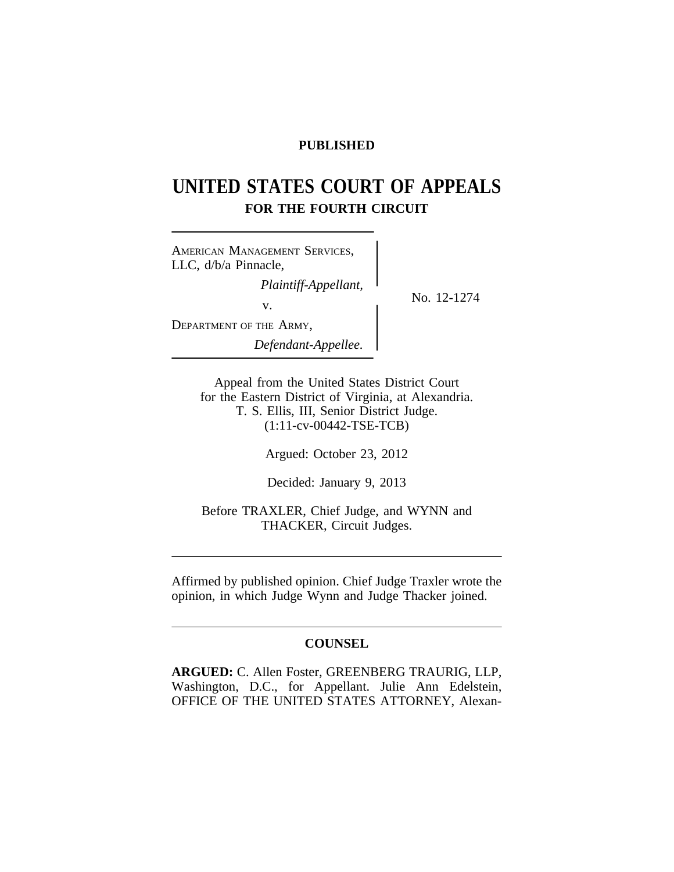# **PUBLISHED**

# **UNITED STATES COURT OF APPEALS FOR THE FOURTH CIRCUIT**

<sup>A</sup>MERICAN MANAGEMENT SERVICES, LLC, d/b/a Pinnacle, *Plaintiff-Appellant,*<br>No. 12-1274 v. DEPARTMENT OF THE ARMY, *Defendant-Appellee.*

Appeal from the United States District Court for the Eastern District of Virginia, at Alexandria. T. S. Ellis, III, Senior District Judge. (1:11-cv-00442-TSE-TCB)

Argued: October 23, 2012

Decided: January 9, 2013

Before TRAXLER, Chief Judge, and WYNN and THACKER, Circuit Judges.

Affirmed by published opinion. Chief Judge Traxler wrote the opinion, in which Judge Wynn and Judge Thacker joined.

# **COUNSEL**

**ARGUED:** C. Allen Foster, GREENBERG TRAURIG, LLP, Washington, D.C., for Appellant. Julie Ann Edelstein, OFFICE OF THE UNITED STATES ATTORNEY, Alexan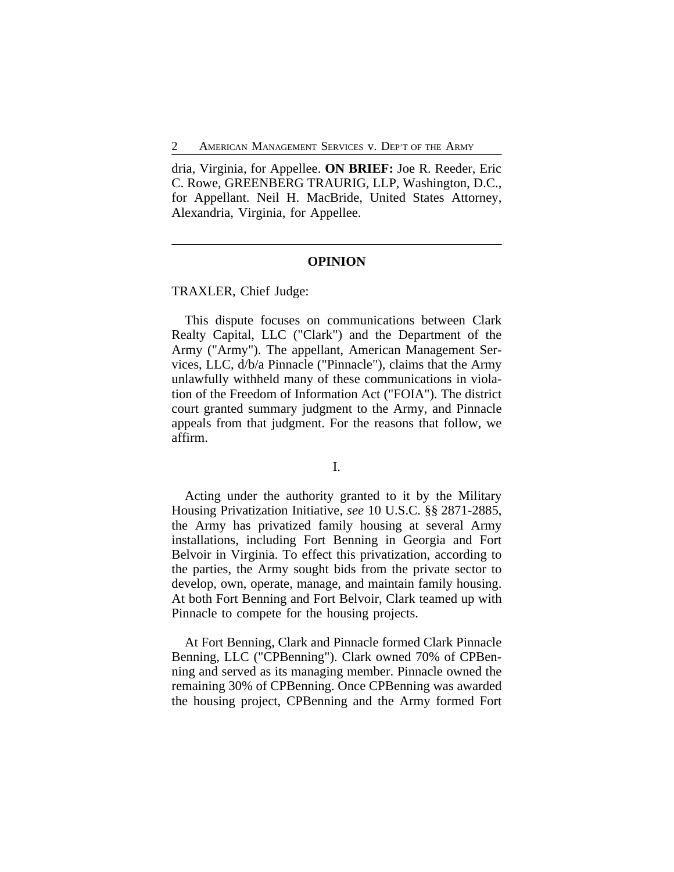2 AMERICAN MANAGEMENT SERVICES v. DEP'T OF THE ARMY

dria, Virginia, for Appellee. **ON BRIEF:** Joe R. Reeder, Eric C. Rowe, GREENBERG TRAURIG, LLP, Washington, D.C., for Appellant. Neil H. MacBride, United States Attorney, Alexandria, Virginia, for Appellee.

#### **OPINION**

TRAXLER, Chief Judge:

This dispute focuses on communications between Clark Realty Capital, LLC ("Clark") and the Department of the Army ("Army"). The appellant, American Management Services, LLC, d/b/a Pinnacle ("Pinnacle"), claims that the Army unlawfully withheld many of these communications in violation of the Freedom of Information Act ("FOIA"). The district court granted summary judgment to the Army, and Pinnacle appeals from that judgment. For the reasons that follow, we affirm.

I.

Acting under the authority granted to it by the Military Housing Privatization Initiative, *see* 10 U.S.C. §§ 2871-2885, the Army has privatized family housing at several Army installations, including Fort Benning in Georgia and Fort Belvoir in Virginia. To effect this privatization, according to the parties, the Army sought bids from the private sector to develop, own, operate, manage, and maintain family housing. At both Fort Benning and Fort Belvoir, Clark teamed up with Pinnacle to compete for the housing projects.

At Fort Benning, Clark and Pinnacle formed Clark Pinnacle Benning, LLC ("CPBenning"). Clark owned 70% of CPBenning and served as its managing member. Pinnacle owned the remaining 30% of CPBenning. Once CPBenning was awarded the housing project, CPBenning and the Army formed Fort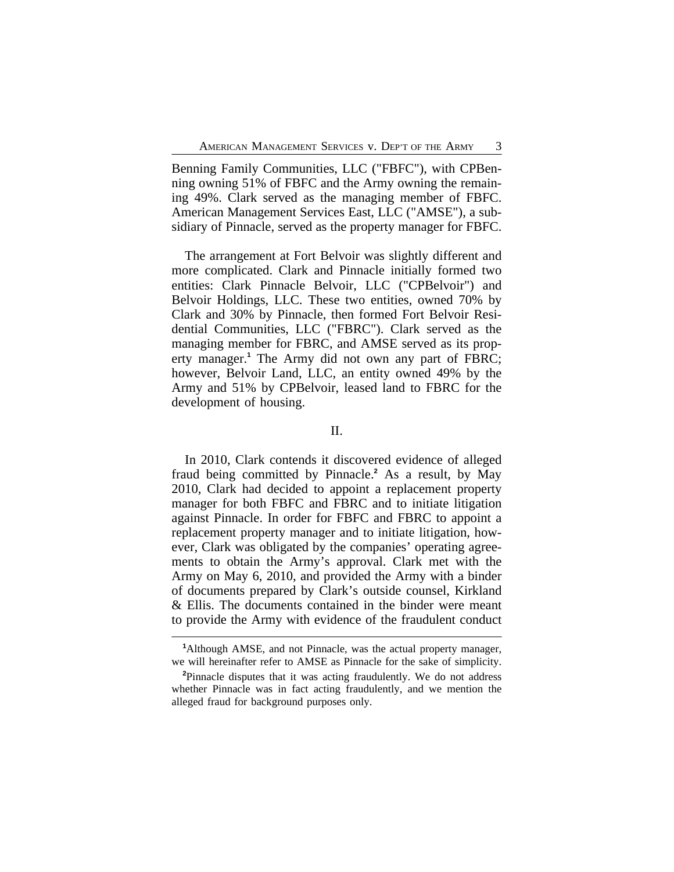Benning Family Communities, LLC ("FBFC"), with CPBenning owning 51% of FBFC and the Army owning the remaining 49%. Clark served as the managing member of FBFC. American Management Services East, LLC ("AMSE"), a subsidiary of Pinnacle, served as the property manager for FBFC.

The arrangement at Fort Belvoir was slightly different and more complicated. Clark and Pinnacle initially formed two entities: Clark Pinnacle Belvoir, LLC ("CPBelvoir") and Belvoir Holdings, LLC. These two entities, owned 70% by Clark and 30% by Pinnacle, then formed Fort Belvoir Residential Communities, LLC ("FBRC"). Clark served as the managing member for FBRC, and AMSE served as its property manager.**<sup>1</sup>** The Army did not own any part of FBRC; however, Belvoir Land, LLC, an entity owned 49% by the Army and 51% by CPBelvoir, leased land to FBRC for the development of housing.

### II.

In 2010, Clark contends it discovered evidence of alleged fraud being committed by Pinnacle.**<sup>2</sup>** As a result, by May 2010, Clark had decided to appoint a replacement property manager for both FBFC and FBRC and to initiate litigation against Pinnacle. In order for FBFC and FBRC to appoint a replacement property manager and to initiate litigation, however, Clark was obligated by the companies' operating agreements to obtain the Army's approval. Clark met with the Army on May 6, 2010, and provided the Army with a binder of documents prepared by Clark's outside counsel, Kirkland & Ellis. The documents contained in the binder were meant to provide the Army with evidence of the fraudulent conduct

**<sup>1</sup>**Although AMSE, and not Pinnacle, was the actual property manager, we will hereinafter refer to AMSE as Pinnacle for the sake of simplicity.

**<sup>2</sup>**Pinnacle disputes that it was acting fraudulently. We do not address whether Pinnacle was in fact acting fraudulently, and we mention the alleged fraud for background purposes only.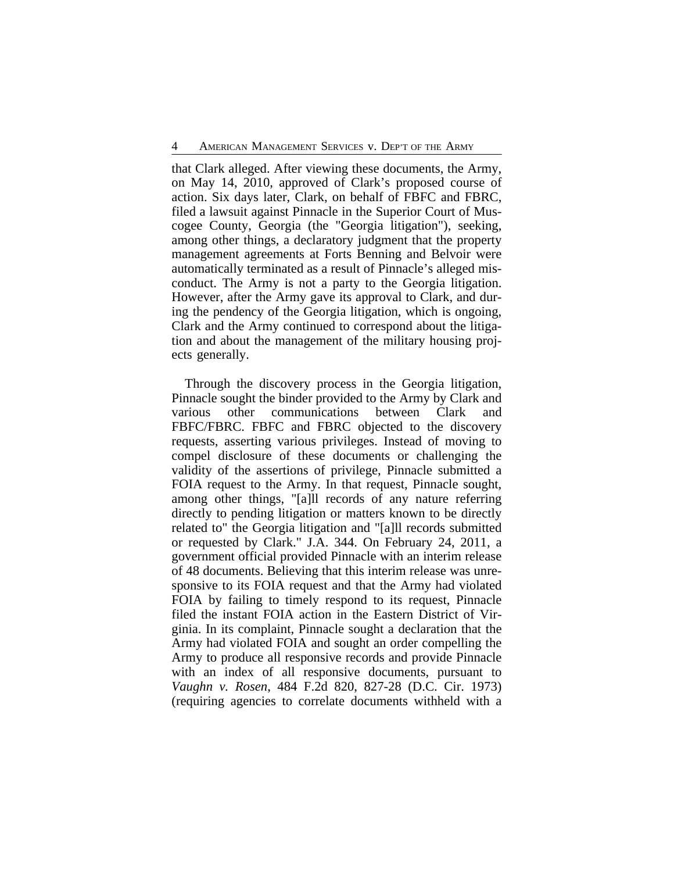that Clark alleged. After viewing these documents, the Army, on May 14, 2010, approved of Clark's proposed course of action. Six days later, Clark, on behalf of FBFC and FBRC, filed a lawsuit against Pinnacle in the Superior Court of Muscogee County, Georgia (the "Georgia litigation"), seeking, among other things, a declaratory judgment that the property management agreements at Forts Benning and Belvoir were automatically terminated as a result of Pinnacle's alleged misconduct. The Army is not a party to the Georgia litigation. However, after the Army gave its approval to Clark, and during the pendency of the Georgia litigation, which is ongoing, Clark and the Army continued to correspond about the litigation and about the management of the military housing projects generally.

Through the discovery process in the Georgia litigation, Pinnacle sought the binder provided to the Army by Clark and various other communications between Clark and FBFC/FBRC. FBFC and FBRC objected to the discovery requests, asserting various privileges. Instead of moving to compel disclosure of these documents or challenging the validity of the assertions of privilege, Pinnacle submitted a FOIA request to the Army. In that request, Pinnacle sought, among other things, "[a]ll records of any nature referring directly to pending litigation or matters known to be directly related to" the Georgia litigation and "[a]ll records submitted or requested by Clark." J.A. 344. On February 24, 2011, a government official provided Pinnacle with an interim release of 48 documents. Believing that this interim release was unresponsive to its FOIA request and that the Army had violated FOIA by failing to timely respond to its request, Pinnacle filed the instant FOIA action in the Eastern District of Virginia. In its complaint, Pinnacle sought a declaration that the Army had violated FOIA and sought an order compelling the Army to produce all responsive records and provide Pinnacle with an index of all responsive documents, pursuant to *Vaughn v. Rosen*, 484 F.2d 820, 827-28 (D.C. Cir. 1973) (requiring agencies to correlate documents withheld with a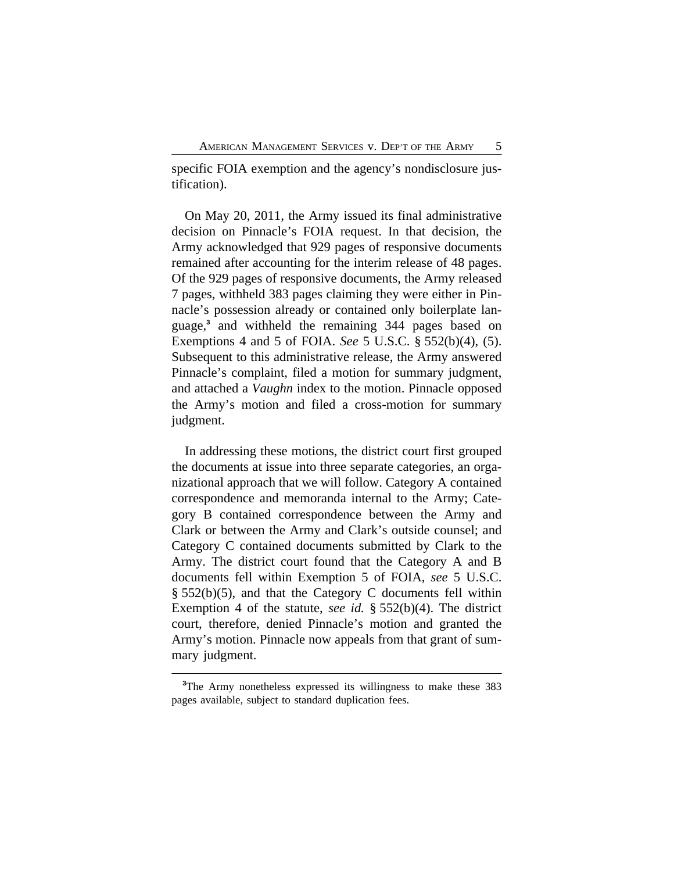specific FOIA exemption and the agency's nondisclosure justification).

On May 20, 2011, the Army issued its final administrative decision on Pinnacle's FOIA request. In that decision, the Army acknowledged that 929 pages of responsive documents remained after accounting for the interim release of 48 pages. Of the 929 pages of responsive documents, the Army released 7 pages, withheld 383 pages claiming they were either in Pinnacle's possession already or contained only boilerplate language,**<sup>3</sup>** and withheld the remaining 344 pages based on Exemptions 4 and 5 of FOIA. *See* 5 U.S.C. § 552(b)(4), (5). Subsequent to this administrative release, the Army answered Pinnacle's complaint, filed a motion for summary judgment, and attached a *Vaughn* index to the motion. Pinnacle opposed the Army's motion and filed a cross-motion for summary judgment.

In addressing these motions, the district court first grouped the documents at issue into three separate categories, an organizational approach that we will follow. Category A contained correspondence and memoranda internal to the Army; Category B contained correspondence between the Army and Clark or between the Army and Clark's outside counsel; and Category C contained documents submitted by Clark to the Army. The district court found that the Category A and B documents fell within Exemption 5 of FOIA, *see* 5 U.S.C. § 552(b)(5), and that the Category C documents fell within Exemption 4 of the statute, *see id.* § 552(b)(4). The district court, therefore, denied Pinnacle's motion and granted the Army's motion. Pinnacle now appeals from that grant of summary judgment.

**<sup>3</sup>**The Army nonetheless expressed its willingness to make these 383 pages available, subject to standard duplication fees.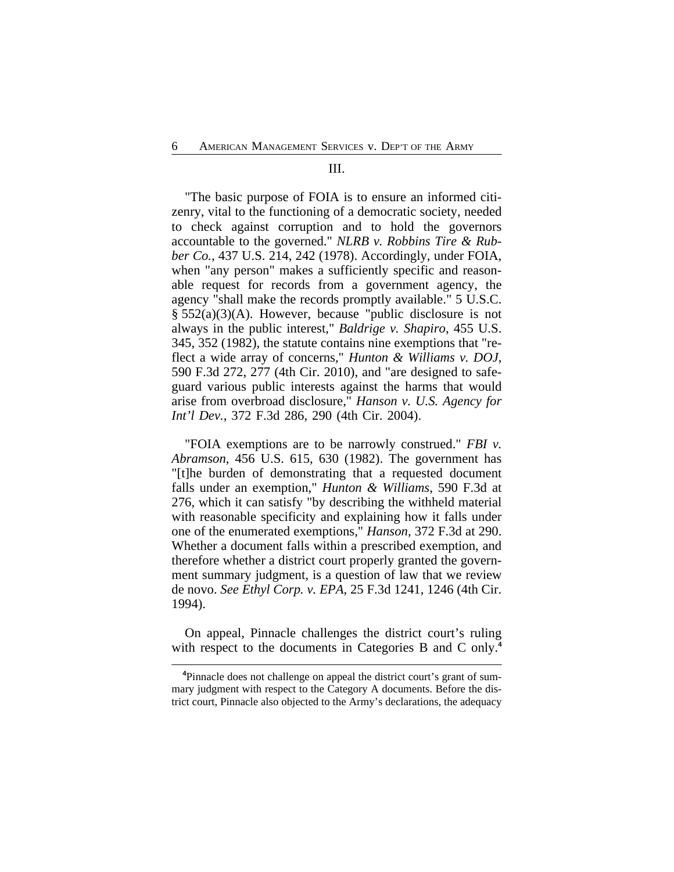#### III.

"The basic purpose of FOIA is to ensure an informed citizenry, vital to the functioning of a democratic society, needed to check against corruption and to hold the governors accountable to the governed." *NLRB v. Robbins Tire & Rubber Co.*, 437 U.S. 214, 242 (1978). Accordingly, under FOIA, when "any person" makes a sufficiently specific and reasonable request for records from a government agency, the agency "shall make the records promptly available." 5 U.S.C. § 552(a)(3)(A). However, because "public disclosure is not always in the public interest," *Baldrige v. Shapiro*, 455 U.S. 345, 352 (1982), the statute contains nine exemptions that "reflect a wide array of concerns," *Hunton & Williams v. DOJ*, 590 F.3d 272, 277 (4th Cir. 2010), and "are designed to safeguard various public interests against the harms that would arise from overbroad disclosure," *Hanson v. U.S. Agency for Int'l Dev.*, 372 F.3d 286, 290 (4th Cir. 2004).

"FOIA exemptions are to be narrowly construed." *FBI v. Abramson*, 456 U.S. 615, 630 (1982). The government has "[t]he burden of demonstrating that a requested document falls under an exemption," *Hunton & Williams*, 590 F.3d at 276, which it can satisfy "by describing the withheld material with reasonable specificity and explaining how it falls under one of the enumerated exemptions," *Hanson*, 372 F.3d at 290. Whether a document falls within a prescribed exemption, and therefore whether a district court properly granted the government summary judgment, is a question of law that we review de novo. *See Ethyl Corp. v. EPA*, 25 F.3d 1241, 1246 (4th Cir. 1994).

On appeal, Pinnacle challenges the district court's ruling with respect to the documents in Categories B and C only.**<sup>4</sup>**

**<sup>4</sup>**Pinnacle does not challenge on appeal the district court's grant of summary judgment with respect to the Category A documents. Before the district court, Pinnacle also objected to the Army's declarations, the adequacy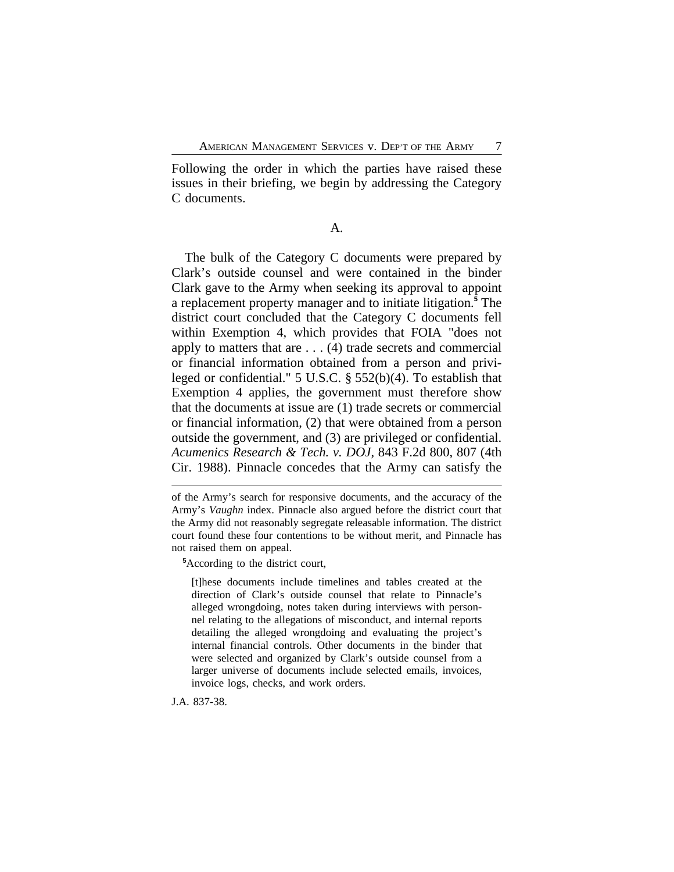Following the order in which the parties have raised these issues in their briefing, we begin by addressing the Category C documents.

A.

The bulk of the Category C documents were prepared by Clark's outside counsel and were contained in the binder Clark gave to the Army when seeking its approval to appoint a replacement property manager and to initiate litigation.**<sup>5</sup>** The district court concluded that the Category C documents fell within Exemption 4, which provides that FOIA "does not apply to matters that are . . . (4) trade secrets and commercial or financial information obtained from a person and privileged or confidential." 5 U.S.C. § 552(b)(4). To establish that Exemption 4 applies, the government must therefore show that the documents at issue are (1) trade secrets or commercial or financial information, (2) that were obtained from a person outside the government, and (3) are privileged or confidential. *Acumenics Research & Tech. v. DOJ*, 843 F.2d 800, 807 (4th Cir. 1988). Pinnacle concedes that the Army can satisfy the

**<sup>5</sup>**According to the district court,

[t]hese documents include timelines and tables created at the direction of Clark's outside counsel that relate to Pinnacle's alleged wrongdoing, notes taken during interviews with personnel relating to the allegations of misconduct, and internal reports detailing the alleged wrongdoing and evaluating the project's internal financial controls. Other documents in the binder that were selected and organized by Clark's outside counsel from a larger universe of documents include selected emails, invoices, invoice logs, checks, and work orders.

J.A. 837-38.

of the Army's search for responsive documents, and the accuracy of the Army's *Vaughn* index. Pinnacle also argued before the district court that the Army did not reasonably segregate releasable information. The district court found these four contentions to be without merit, and Pinnacle has not raised them on appeal.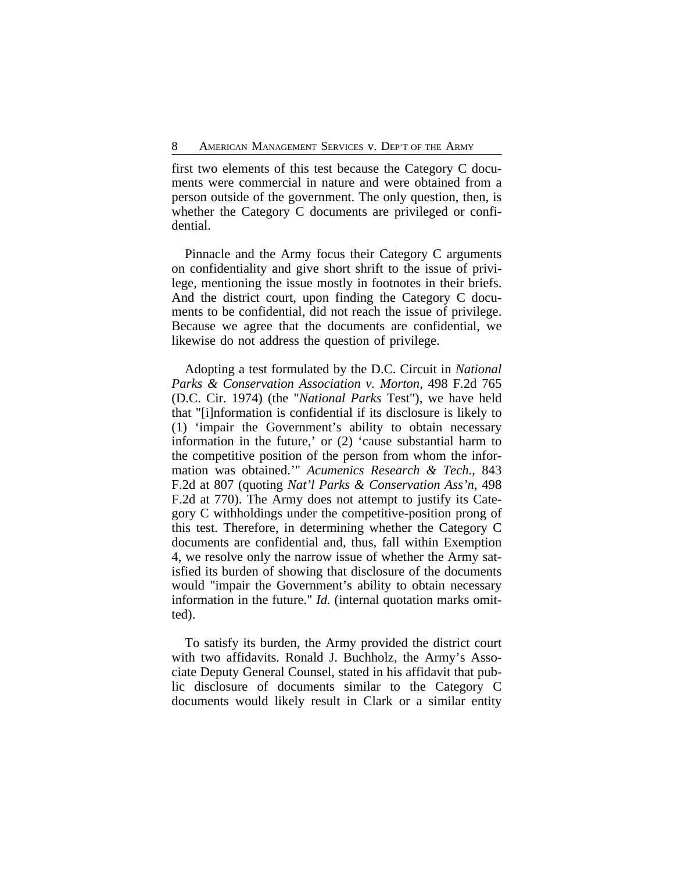first two elements of this test because the Category C documents were commercial in nature and were obtained from a person outside of the government. The only question, then, is whether the Category C documents are privileged or confidential.

Pinnacle and the Army focus their Category C arguments on confidentiality and give short shrift to the issue of privilege, mentioning the issue mostly in footnotes in their briefs. And the district court, upon finding the Category C documents to be confidential, did not reach the issue of privilege. Because we agree that the documents are confidential, we likewise do not address the question of privilege.

Adopting a test formulated by the D.C. Circuit in *National Parks & Conservation Association v. Morton*, 498 F.2d 765 (D.C. Cir. 1974) (the "*National Parks* Test"), we have held that "[i]nformation is confidential if its disclosure is likely to (1) 'impair the Government's ability to obtain necessary information in the future,' or (2) 'cause substantial harm to the competitive position of the person from whom the information was obtained.'" *Acumenics Research & Tech.*, 843 F.2d at 807 (quoting *Nat'l Parks & Conservation Ass'n*, 498 F.2d at 770). The Army does not attempt to justify its Category C withholdings under the competitive-position prong of this test. Therefore, in determining whether the Category C documents are confidential and, thus, fall within Exemption 4, we resolve only the narrow issue of whether the Army satisfied its burden of showing that disclosure of the documents would "impair the Government's ability to obtain necessary information in the future." *Id.* (internal quotation marks omitted).

To satisfy its burden, the Army provided the district court with two affidavits. Ronald J. Buchholz, the Army's Associate Deputy General Counsel, stated in his affidavit that public disclosure of documents similar to the Category C documents would likely result in Clark or a similar entity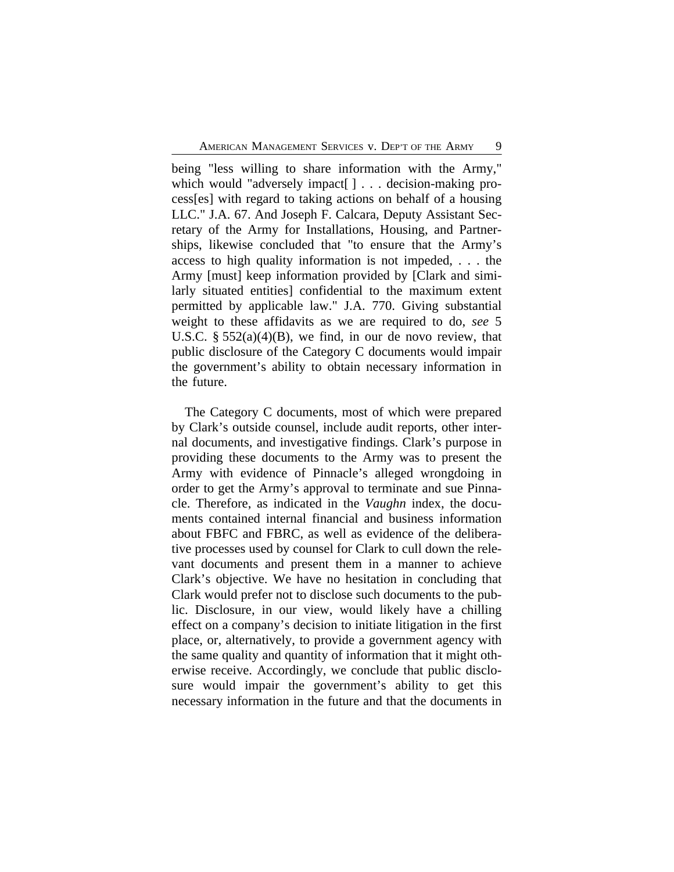being "less willing to share information with the Army," which would "adversely impact[] . . . decision-making process[es] with regard to taking actions on behalf of a housing LLC." J.A. 67. And Joseph F. Calcara, Deputy Assistant Secretary of the Army for Installations, Housing, and Partnerships, likewise concluded that "to ensure that the Army's access to high quality information is not impeded, . . . the Army [must] keep information provided by [Clark and similarly situated entities] confidential to the maximum extent permitted by applicable law." J.A. 770. Giving substantial weight to these affidavits as we are required to do, *see* 5 U.S.C.  $\S 552(a)(4)(B)$ , we find, in our de novo review, that public disclosure of the Category C documents would impair the government's ability to obtain necessary information in the future.

The Category C documents, most of which were prepared by Clark's outside counsel, include audit reports, other internal documents, and investigative findings. Clark's purpose in providing these documents to the Army was to present the Army with evidence of Pinnacle's alleged wrongdoing in order to get the Army's approval to terminate and sue Pinnacle. Therefore, as indicated in the *Vaughn* index, the documents contained internal financial and business information about FBFC and FBRC, as well as evidence of the deliberative processes used by counsel for Clark to cull down the relevant documents and present them in a manner to achieve Clark's objective. We have no hesitation in concluding that Clark would prefer not to disclose such documents to the public. Disclosure, in our view, would likely have a chilling effect on a company's decision to initiate litigation in the first place, or, alternatively, to provide a government agency with the same quality and quantity of information that it might otherwise receive. Accordingly, we conclude that public disclosure would impair the government's ability to get this necessary information in the future and that the documents in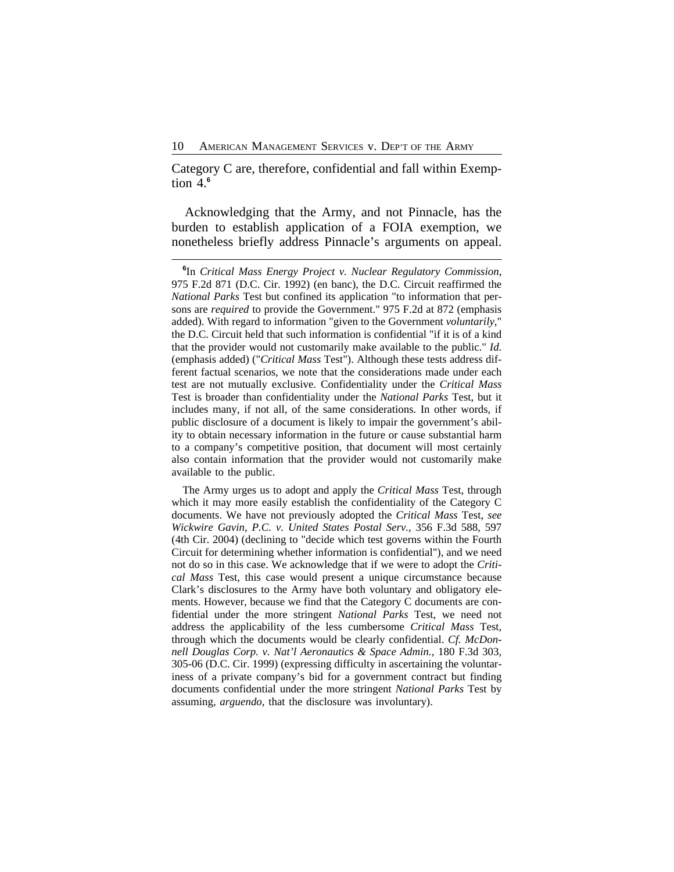Category C are, therefore, confidential and fall within Exemption 4.**<sup>6</sup>**

Acknowledging that the Army, and not Pinnacle, has the burden to establish application of a FOIA exemption, we nonetheless briefly address Pinnacle's arguments on appeal.

The Army urges us to adopt and apply the *Critical Mass* Test, through which it may more easily establish the confidentiality of the Category C documents. We have not previously adopted the *Critical Mass* Test, *see Wickwire Gavin, P.C. v. United States Postal Serv.*, 356 F.3d 588, 597 (4th Cir. 2004) (declining to "decide which test governs within the Fourth Circuit for determining whether information is confidential"), and we need not do so in this case. We acknowledge that if we were to adopt the *Critical Mass* Test, this case would present a unique circumstance because Clark's disclosures to the Army have both voluntary and obligatory elements. However, because we find that the Category C documents are confidential under the more stringent *National Parks* Test, we need not address the applicability of the less cumbersome *Critical Mass* Test, through which the documents would be clearly confidential. *Cf. McDonnell Douglas Corp. v. Nat'l Aeronautics & Space Admin.*, 180 F.3d 303, 305-06 (D.C. Cir. 1999) (expressing difficulty in ascertaining the voluntariness of a private company's bid for a government contract but finding documents confidential under the more stringent *National Parks* Test by assuming, *arguendo*, that the disclosure was involuntary).

**<sup>6</sup>** In *Critical Mass Energy Project v. Nuclear Regulatory Commission*, 975 F.2d 871 (D.C. Cir. 1992) (en banc), the D.C. Circuit reaffirmed the *National Parks* Test but confined its application "to information that persons are *required* to provide the Government." 975 F.2d at 872 (emphasis added). With regard to information "given to the Government *voluntarily*," the D.C. Circuit held that such information is confidential "if it is of a kind that the provider would not customarily make available to the public." *Id.* (emphasis added) ("*Critical Mass* Test"). Although these tests address different factual scenarios, we note that the considerations made under each test are not mutually exclusive. Confidentiality under the *Critical Mass* Test is broader than confidentiality under the *National Parks* Test, but it includes many, if not all, of the same considerations. In other words, if public disclosure of a document is likely to impair the government's ability to obtain necessary information in the future or cause substantial harm to a company's competitive position, that document will most certainly also contain information that the provider would not customarily make available to the public.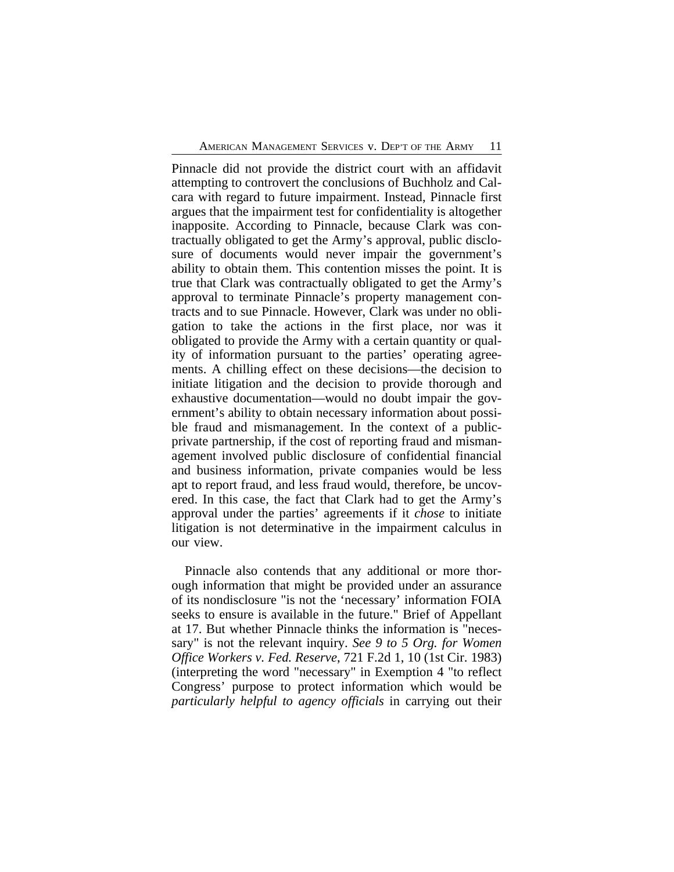Pinnacle did not provide the district court with an affidavit attempting to controvert the conclusions of Buchholz and Calcara with regard to future impairment. Instead, Pinnacle first argues that the impairment test for confidentiality is altogether inapposite. According to Pinnacle, because Clark was contractually obligated to get the Army's approval, public disclosure of documents would never impair the government's ability to obtain them. This contention misses the point. It is true that Clark was contractually obligated to get the Army's approval to terminate Pinnacle's property management contracts and to sue Pinnacle. However, Clark was under no obligation to take the actions in the first place, nor was it obligated to provide the Army with a certain quantity or quality of information pursuant to the parties' operating agreements. A chilling effect on these decisions—the decision to initiate litigation and the decision to provide thorough and exhaustive documentation—would no doubt impair the government's ability to obtain necessary information about possible fraud and mismanagement. In the context of a publicprivate partnership, if the cost of reporting fraud and mismanagement involved public disclosure of confidential financial and business information, private companies would be less apt to report fraud, and less fraud would, therefore, be uncovered. In this case, the fact that Clark had to get the Army's approval under the parties' agreements if it *chose* to initiate litigation is not determinative in the impairment calculus in our view.

Pinnacle also contends that any additional or more thorough information that might be provided under an assurance of its nondisclosure "is not the 'necessary' information FOIA seeks to ensure is available in the future." Brief of Appellant at 17. But whether Pinnacle thinks the information is "necessary" is not the relevant inquiry. *See 9 to 5 Org. for Women Office Workers v. Fed. Reserve*, 721 F.2d 1, 10 (1st Cir. 1983) (interpreting the word "necessary" in Exemption 4 "to reflect Congress' purpose to protect information which would be *particularly helpful to agency officials* in carrying out their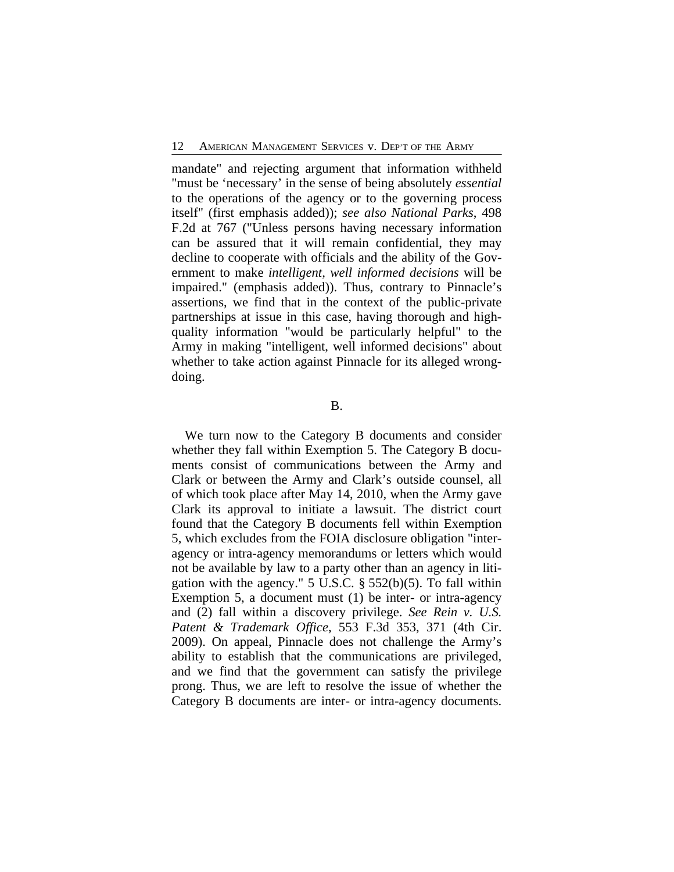mandate" and rejecting argument that information withheld "must be 'necessary' in the sense of being absolutely *essential* to the operations of the agency or to the governing process itself" (first emphasis added)); *see also National Parks*, 498 F.2d at 767 ("Unless persons having necessary information can be assured that it will remain confidential, they may decline to cooperate with officials and the ability of the Government to make *intelligent, well informed decisions* will be impaired." (emphasis added)). Thus, contrary to Pinnacle's assertions, we find that in the context of the public-private partnerships at issue in this case, having thorough and highquality information "would be particularly helpful" to the Army in making "intelligent, well informed decisions" about whether to take action against Pinnacle for its alleged wrongdoing.

B.

We turn now to the Category B documents and consider whether they fall within Exemption 5. The Category B documents consist of communications between the Army and Clark or between the Army and Clark's outside counsel, all of which took place after May 14, 2010, when the Army gave Clark its approval to initiate a lawsuit. The district court found that the Category B documents fell within Exemption 5, which excludes from the FOIA disclosure obligation "interagency or intra-agency memorandums or letters which would not be available by law to a party other than an agency in litigation with the agency." 5 U.S.C. § 552(b)(5). To fall within Exemption 5, a document must (1) be inter- or intra-agency and (2) fall within a discovery privilege. *See Rein v. U.S. Patent & Trademark Office*, 553 F.3d 353, 371 (4th Cir. 2009). On appeal, Pinnacle does not challenge the Army's ability to establish that the communications are privileged, and we find that the government can satisfy the privilege prong. Thus, we are left to resolve the issue of whether the Category B documents are inter- or intra-agency documents.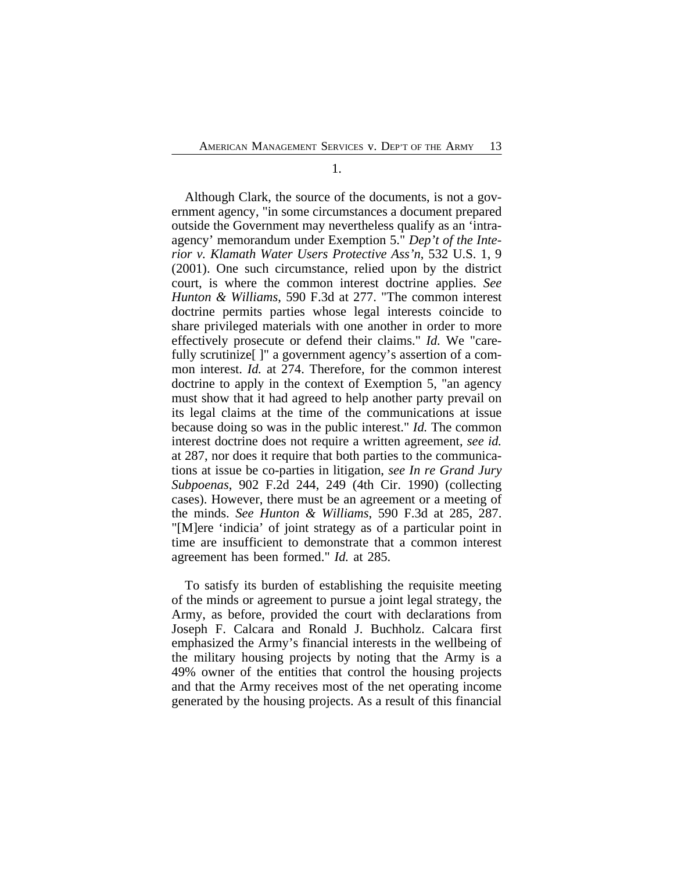1.

Although Clark, the source of the documents, is not a government agency, "in some circumstances a document prepared outside the Government may nevertheless qualify as an 'intraagency' memorandum under Exemption 5." *Dep't of the Interior v. Klamath Water Users Protective Ass'n*, 532 U.S. 1, 9 (2001). One such circumstance, relied upon by the district court, is where the common interest doctrine applies. *See Hunton & Williams*, 590 F.3d at 277. "The common interest doctrine permits parties whose legal interests coincide to share privileged materials with one another in order to more effectively prosecute or defend their claims." *Id.* We "carefully scrutinize<sup>[]"</sup> a government agency's assertion of a common interest. *Id.* at 274. Therefore, for the common interest doctrine to apply in the context of Exemption 5, "an agency must show that it had agreed to help another party prevail on its legal claims at the time of the communications at issue because doing so was in the public interest." *Id.* The common interest doctrine does not require a written agreement, *see id.* at 287, nor does it require that both parties to the communications at issue be co-parties in litigation, *see In re Grand Jury Subpoenas*, 902 F.2d 244, 249 (4th Cir. 1990) (collecting cases). However, there must be an agreement or a meeting of the minds. *See Hunton & Williams*, 590 F.3d at 285, 287. "[M]ere 'indicia' of joint strategy as of a particular point in time are insufficient to demonstrate that a common interest agreement has been formed." *Id.* at 285.

To satisfy its burden of establishing the requisite meeting of the minds or agreement to pursue a joint legal strategy, the Army, as before, provided the court with declarations from Joseph F. Calcara and Ronald J. Buchholz. Calcara first emphasized the Army's financial interests in the wellbeing of the military housing projects by noting that the Army is a 49% owner of the entities that control the housing projects and that the Army receives most of the net operating income generated by the housing projects. As a result of this financial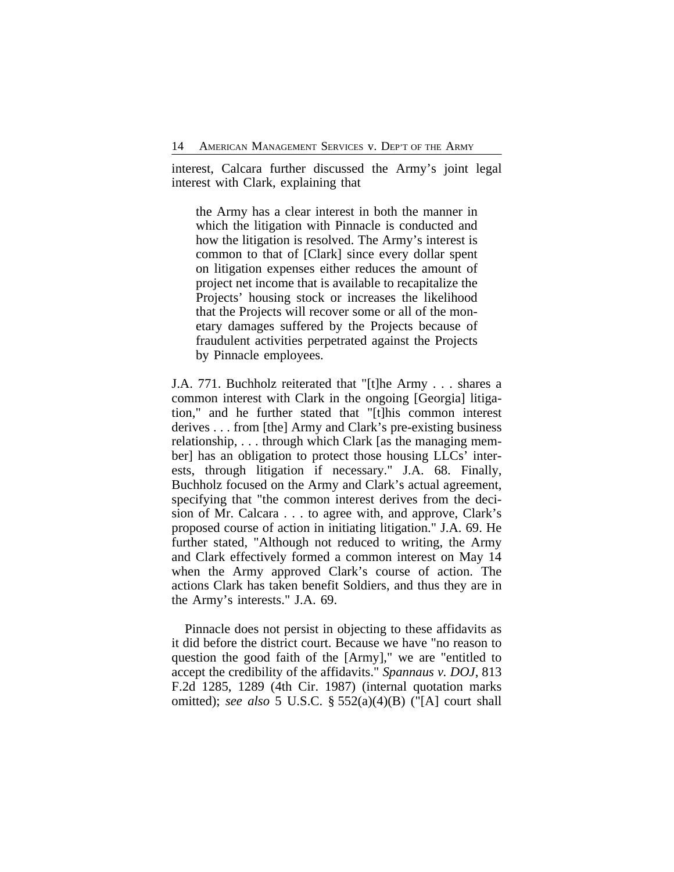interest, Calcara further discussed the Army's joint legal interest with Clark, explaining that

the Army has a clear interest in both the manner in which the litigation with Pinnacle is conducted and how the litigation is resolved. The Army's interest is common to that of [Clark] since every dollar spent on litigation expenses either reduces the amount of project net income that is available to recapitalize the Projects' housing stock or increases the likelihood that the Projects will recover some or all of the monetary damages suffered by the Projects because of fraudulent activities perpetrated against the Projects by Pinnacle employees.

J.A. 771. Buchholz reiterated that "[t]he Army . . . shares a common interest with Clark in the ongoing [Georgia] litigation," and he further stated that "[t]his common interest derives . . . from [the] Army and Clark's pre-existing business relationship, . . . through which Clark [as the managing member] has an obligation to protect those housing LLCs' interests, through litigation if necessary." J.A. 68. Finally, Buchholz focused on the Army and Clark's actual agreement, specifying that "the common interest derives from the decision of Mr. Calcara . . . to agree with, and approve, Clark's proposed course of action in initiating litigation." J.A. 69. He further stated, "Although not reduced to writing, the Army and Clark effectively formed a common interest on May 14 when the Army approved Clark's course of action. The actions Clark has taken benefit Soldiers, and thus they are in the Army's interests." J.A. 69.

Pinnacle does not persist in objecting to these affidavits as it did before the district court. Because we have "no reason to question the good faith of the [Army]," we are "entitled to accept the credibility of the affidavits." *Spannaus v. DOJ*, 813 F.2d 1285, 1289 (4th Cir. 1987) (internal quotation marks omitted); *see also* 5 U.S.C. § 552(a)(4)(B) ("[A] court shall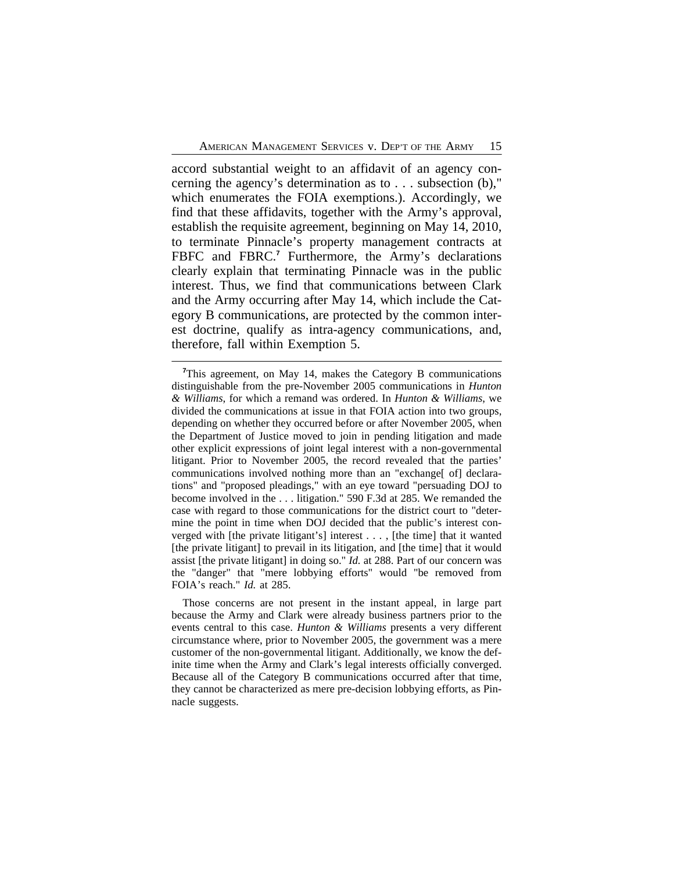accord substantial weight to an affidavit of an agency concerning the agency's determination as to . . . subsection (b)," which enumerates the FOIA exemptions.). Accordingly, we find that these affidavits, together with the Army's approval, establish the requisite agreement, beginning on May 14, 2010, to terminate Pinnacle's property management contracts at FBFC and FBRC.**<sup>7</sup>** Furthermore, the Army's declarations clearly explain that terminating Pinnacle was in the public interest. Thus, we find that communications between Clark and the Army occurring after May 14, which include the Category B communications, are protected by the common interest doctrine, qualify as intra-agency communications, and, therefore, fall within Exemption 5.

**<sup>7</sup>**This agreement, on May 14, makes the Category B communications distinguishable from the pre-November 2005 communications in *Hunton & Williams*, for which a remand was ordered. In *Hunton & Williams*, we divided the communications at issue in that FOIA action into two groups, depending on whether they occurred before or after November 2005, when the Department of Justice moved to join in pending litigation and made other explicit expressions of joint legal interest with a non-governmental litigant. Prior to November 2005, the record revealed that the parties' communications involved nothing more than an "exchange" of declarations" and "proposed pleadings," with an eye toward "persuading DOJ to become involved in the . . . litigation." 590 F.3d at 285. We remanded the case with regard to those communications for the district court to "determine the point in time when DOJ decided that the public's interest converged with [the private litigant's] interest . . . , [the time] that it wanted [the private litigant] to prevail in its litigation, and [the time] that it would assist [the private litigant] in doing so." *Id.* at 288. Part of our concern was the "danger" that "mere lobbying efforts" would "be removed from FOIA's reach." *Id.* at 285.

Those concerns are not present in the instant appeal, in large part because the Army and Clark were already business partners prior to the events central to this case. *Hunton & Williams* presents a very different circumstance where, prior to November 2005, the government was a mere customer of the non-governmental litigant. Additionally, we know the definite time when the Army and Clark's legal interests officially converged. Because all of the Category B communications occurred after that time, they cannot be characterized as mere pre-decision lobbying efforts, as Pinnacle suggests.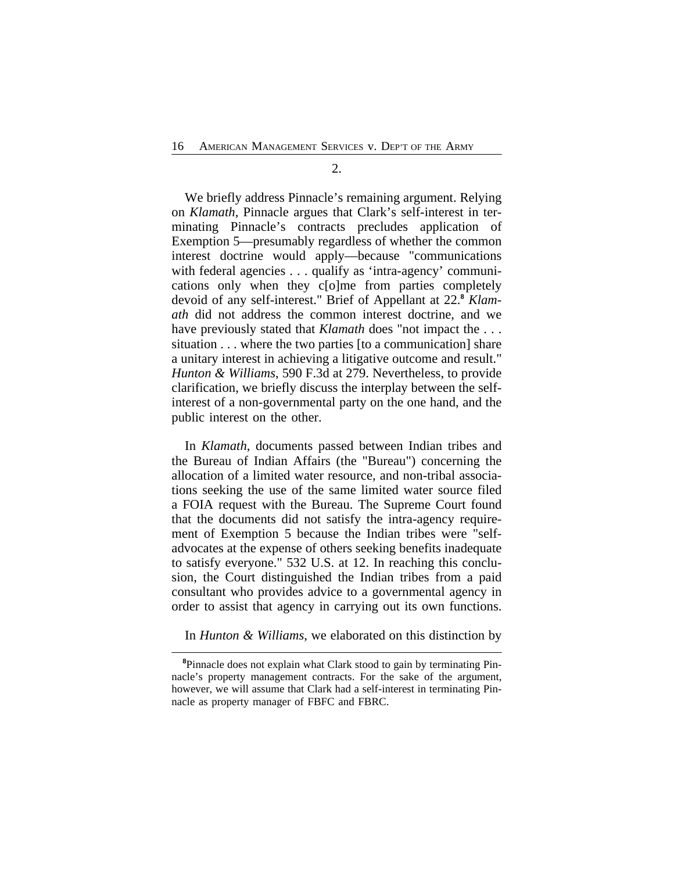2.

We briefly address Pinnacle's remaining argument. Relying on *Klamath*, Pinnacle argues that Clark's self-interest in terminating Pinnacle's contracts precludes application of Exemption 5—presumably regardless of whether the common interest doctrine would apply—because "communications with federal agencies . . . qualify as 'intra-agency' communications only when they c[o]me from parties completely devoid of any self-interest." Brief of Appellant at 22.**<sup>8</sup>** *Klamath* did not address the common interest doctrine, and we have previously stated that *Klamath* does "not impact the ... situation . . . where the two parties [to a communication] share a unitary interest in achieving a litigative outcome and result." *Hunton & Williams*, 590 F.3d at 279. Nevertheless, to provide clarification, we briefly discuss the interplay between the selfinterest of a non-governmental party on the one hand, and the public interest on the other.

In *Klamath*, documents passed between Indian tribes and the Bureau of Indian Affairs (the "Bureau") concerning the allocation of a limited water resource, and non-tribal associations seeking the use of the same limited water source filed a FOIA request with the Bureau. The Supreme Court found that the documents did not satisfy the intra-agency requirement of Exemption 5 because the Indian tribes were "selfadvocates at the expense of others seeking benefits inadequate to satisfy everyone." 532 U.S. at 12. In reaching this conclusion, the Court distinguished the Indian tribes from a paid consultant who provides advice to a governmental agency in order to assist that agency in carrying out its own functions.

In *Hunton & Williams*, we elaborated on this distinction by

**<sup>8</sup>**Pinnacle does not explain what Clark stood to gain by terminating Pinnacle's property management contracts. For the sake of the argument, however, we will assume that Clark had a self-interest in terminating Pinnacle as property manager of FBFC and FBRC.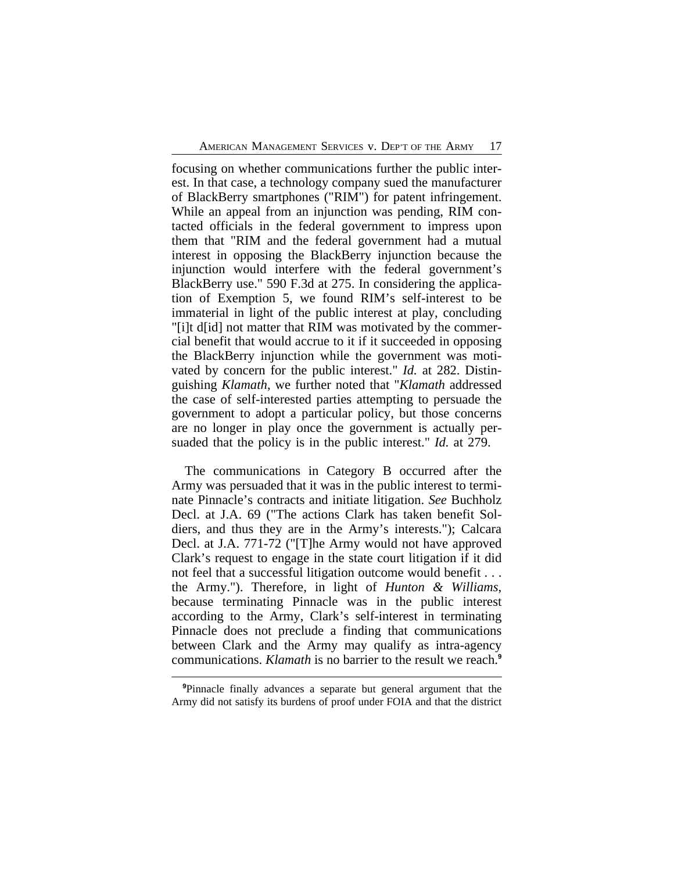focusing on whether communications further the public interest. In that case, a technology company sued the manufacturer of BlackBerry smartphones ("RIM") for patent infringement. While an appeal from an injunction was pending, RIM contacted officials in the federal government to impress upon them that "RIM and the federal government had a mutual interest in opposing the BlackBerry injunction because the injunction would interfere with the federal government's BlackBerry use." 590 F.3d at 275. In considering the application of Exemption 5, we found RIM's self-interest to be immaterial in light of the public interest at play, concluding "[i]t d[id] not matter that RIM was motivated by the commercial benefit that would accrue to it if it succeeded in opposing the BlackBerry injunction while the government was motivated by concern for the public interest." *Id.* at 282. Distinguishing *Klamath*, we further noted that "*Klamath* addressed the case of self-interested parties attempting to persuade the government to adopt a particular policy, but those concerns are no longer in play once the government is actually persuaded that the policy is in the public interest." *Id.* at 279.

The communications in Category B occurred after the Army was persuaded that it was in the public interest to terminate Pinnacle's contracts and initiate litigation. *See* Buchholz Decl. at J.A. 69 ("The actions Clark has taken benefit Soldiers, and thus they are in the Army's interests."); Calcara Decl. at J.A. 771-72 ("[T]he Army would not have approved Clark's request to engage in the state court litigation if it did not feel that a successful litigation outcome would benefit . . . the Army."). Therefore, in light of *Hunton & Williams*, because terminating Pinnacle was in the public interest according to the Army, Clark's self-interest in terminating Pinnacle does not preclude a finding that communications between Clark and the Army may qualify as intra-agency communications. *Klamath* is no barrier to the result we reach.**<sup>9</sup>**

**<sup>9</sup>**Pinnacle finally advances a separate but general argument that the Army did not satisfy its burdens of proof under FOIA and that the district